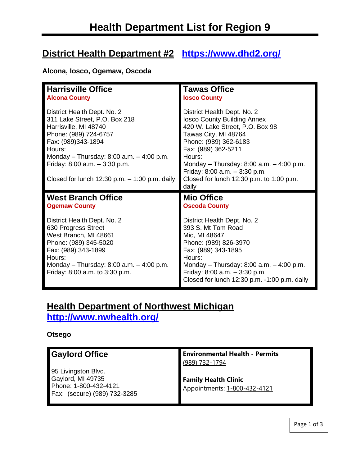# **District Health Department #2 <https://www.dhd2.org/>**

## **Alcona, Iosco, Ogemaw, Oscoda**

| <b>Harrisville Office</b>                                                                                                                                                                                                                                                             | <b>Tawas Office</b>                                                                                                                                                                                                                                                                                                           |
|---------------------------------------------------------------------------------------------------------------------------------------------------------------------------------------------------------------------------------------------------------------------------------------|-------------------------------------------------------------------------------------------------------------------------------------------------------------------------------------------------------------------------------------------------------------------------------------------------------------------------------|
| <b>Alcona County</b>                                                                                                                                                                                                                                                                  | <b>losco County</b>                                                                                                                                                                                                                                                                                                           |
| District Health Dept. No. 2<br>311 Lake Street, P.O. Box 218<br>Harrisville, MI 48740<br>Phone: (989) 724-6757<br>Fax: (989)343-1894<br>Hours:<br>Monday - Thursday: $8:00$ a.m. $-4:00$ p.m.<br>Friday: $8:00$ a.m. $-3:30$ p.m.<br>Closed for lunch $12:30$ p.m. $-1:00$ p.m. daily | District Health Dept. No. 2<br><b>Iosco County Building Annex</b><br>420 W. Lake Street, P.O. Box 98<br>Tawas City, MI 48764<br>Phone: (989) 362-6183<br>Fax: (989) 362-5211<br>Hours:<br>Monday - Thursday: 8:00 a.m. $-$ 4:00 p.m.<br>Friday: $8:00$ a.m. $-3:30$ p.m.<br>Closed for lunch 12:30 p.m. to 1:00 p.m.<br>daily |
| <b>West Branch Office</b>                                                                                                                                                                                                                                                             | <b>Mio Office</b>                                                                                                                                                                                                                                                                                                             |
| <b>Ogemaw County</b>                                                                                                                                                                                                                                                                  | <b>Oscoda County</b>                                                                                                                                                                                                                                                                                                          |
| District Health Dept. No. 2                                                                                                                                                                                                                                                           | District Health Dept. No. 2                                                                                                                                                                                                                                                                                                   |
| 630 Progress Street                                                                                                                                                                                                                                                                   | 393 S. Mt Tom Road                                                                                                                                                                                                                                                                                                            |
| West Branch, MI 48661                                                                                                                                                                                                                                                                 | Mio, MI 48647                                                                                                                                                                                                                                                                                                                 |
| Phone: (989) 345-5020                                                                                                                                                                                                                                                                 | Phone: (989) 826-3970                                                                                                                                                                                                                                                                                                         |
| Fax: (989) 343-1899                                                                                                                                                                                                                                                                   | Fax: (989) 343-1895                                                                                                                                                                                                                                                                                                           |
| Hours:                                                                                                                                                                                                                                                                                | Hours:                                                                                                                                                                                                                                                                                                                        |
| Monday - Thursday: 8:00 a.m. $-$ 4:00 p.m.                                                                                                                                                                                                                                            | Monday - Thursday: $8:00$ a.m. $-4:00$ p.m.                                                                                                                                                                                                                                                                                   |
| Friday: 8:00 a.m. to 3:30 p.m.                                                                                                                                                                                                                                                        | Friday: $8:00$ a.m. $-3:30$ p.m.                                                                                                                                                                                                                                                                                              |

# **Health Department of Northwest Michigan**

**<http://www.nwhealth.org/>**

## **Otsego**

| <b>Gaylord Office</b>                                                                             | <b>Environmental Health - Permits</b><br>(989) 732-1794     |
|---------------------------------------------------------------------------------------------------|-------------------------------------------------------------|
| 95 Livingston Blvd.<br>Gaylord, MI 49735<br>Phone: 1-800-432-4121<br>Fax: (secure) (989) 732-3285 | <b>Family Health Clinic</b><br>Appointments: 1-800-432-4121 |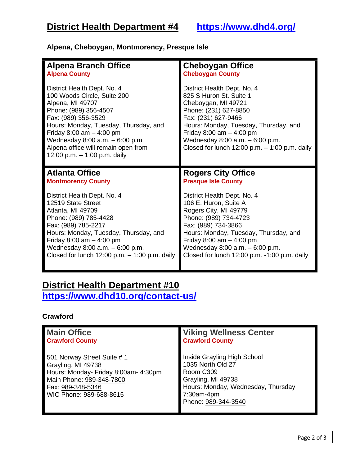## **Alpena, Cheboygan, Montmorency, Presque Isle**

| <b>Alpena Branch Office</b>                                                                                                                                                                                                                                                                                          | <b>Cheboygan Office</b>                                                                                                                                                                                                                                                                        |
|----------------------------------------------------------------------------------------------------------------------------------------------------------------------------------------------------------------------------------------------------------------------------------------------------------------------|------------------------------------------------------------------------------------------------------------------------------------------------------------------------------------------------------------------------------------------------------------------------------------------------|
| <b>Alpena County</b>                                                                                                                                                                                                                                                                                                 | <b>Cheboygan County</b>                                                                                                                                                                                                                                                                        |
| District Health Dept. No. 4<br>100 Woods Circle, Suite 200<br>Alpena, MI 49707<br>Phone: (989) 356-4507<br>Fax: (989) 356-3529<br>Hours: Monday, Tuesday, Thursday, and<br>Friday 8:00 am $-$ 4:00 pm<br>Wednesday $8:00$ a.m. $-6:00$ p.m.<br>Alpena office will remain open from<br>12:00 p.m. $-$ 1:00 p.m. daily | District Health Dept. No. 4<br>825 S Huron St. Suite 1<br>Cheboygan, MI 49721<br>Phone: (231) 627-8850<br>Fax: (231) 627-9466<br>Hours: Monday, Tuesday, Thursday, and<br>Friday 8:00 am $-$ 4:00 pm<br>Wednesday $8:00$ a.m. $-6:00$ p.m.<br>Closed for lunch $12:00$ p.m. $-1:00$ p.m. daily |
|                                                                                                                                                                                                                                                                                                                      |                                                                                                                                                                                                                                                                                                |
| <b>Atlanta Office</b>                                                                                                                                                                                                                                                                                                | <b>Rogers City Office</b>                                                                                                                                                                                                                                                                      |
| <b>Montmorency County</b>                                                                                                                                                                                                                                                                                            | <b>Presque Isle County</b>                                                                                                                                                                                                                                                                     |

## **District Health Department #10 <https://www.dhd10.org/contact-us/>**

### **Crawford**

| <b>Main Office</b>                                                                                                                                                    | <b>Viking Wellness Center</b>                                                                                                                                  |
|-----------------------------------------------------------------------------------------------------------------------------------------------------------------------|----------------------------------------------------------------------------------------------------------------------------------------------------------------|
| <b>Crawford County</b>                                                                                                                                                | <b>Crawford County</b>                                                                                                                                         |
| 501 Norway Street Suite # 1<br>Grayling, MI 49738<br>Hours: Monday- Friday 8:00am- 4:30pm<br>Main Phone: 989-348-7800<br>Fax: 989-348-5346<br>WIC Phone: 989-688-8615 | Inside Grayling High School<br>1035 North Old 27<br>Room C309<br>Grayling, MI 49738<br>Hours: Monday, Wednesday, Thursday<br>7:30am-4pm<br>Phone: 989-344-3540 |